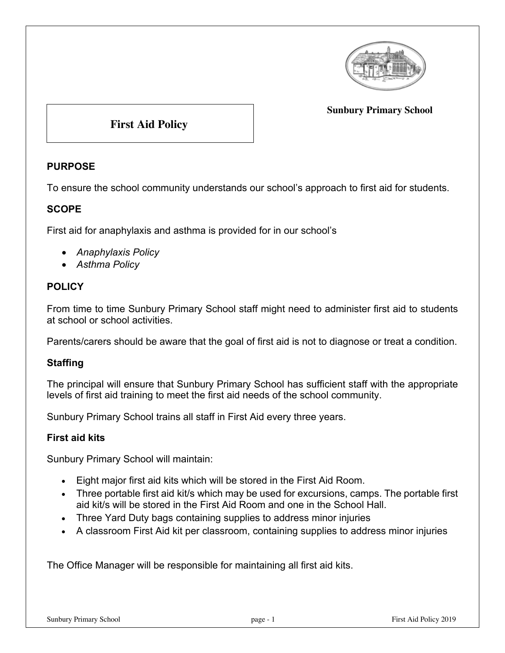

#### **Sunbury Primary School**

# **First Aid Policy**

## **PURPOSE**

To ensure the school community understands our school's approach to first aid for students.

### **SCOPE**

First aid for anaphylaxis and asthma is provided for in our school's

- *Anaphylaxis Policy*
- *Asthma Policy*

### **POLICY**

From time to time Sunbury Primary School staff might need to administer first aid to students at school or school activities.

Parents/carers should be aware that the goal of first aid is not to diagnose or treat a condition.

#### **Staffing**

The principal will ensure that Sunbury Primary School has sufficient staff with the appropriate levels of first aid training to meet the first aid needs of the school community.

Sunbury Primary School trains all staff in First Aid every three years.

#### **First aid kits**

Sunbury Primary School will maintain:

- Eight major first aid kits which will be stored in the First Aid Room.
- Three portable first aid kit/s which may be used for excursions, camps. The portable first aid kit/s will be stored in the First Aid Room and one in the School Hall.
- Three Yard Duty bags containing supplies to address minor injuries
- A classroom First Aid kit per classroom, containing supplies to address minor injuries

The Office Manager will be responsible for maintaining all first aid kits.